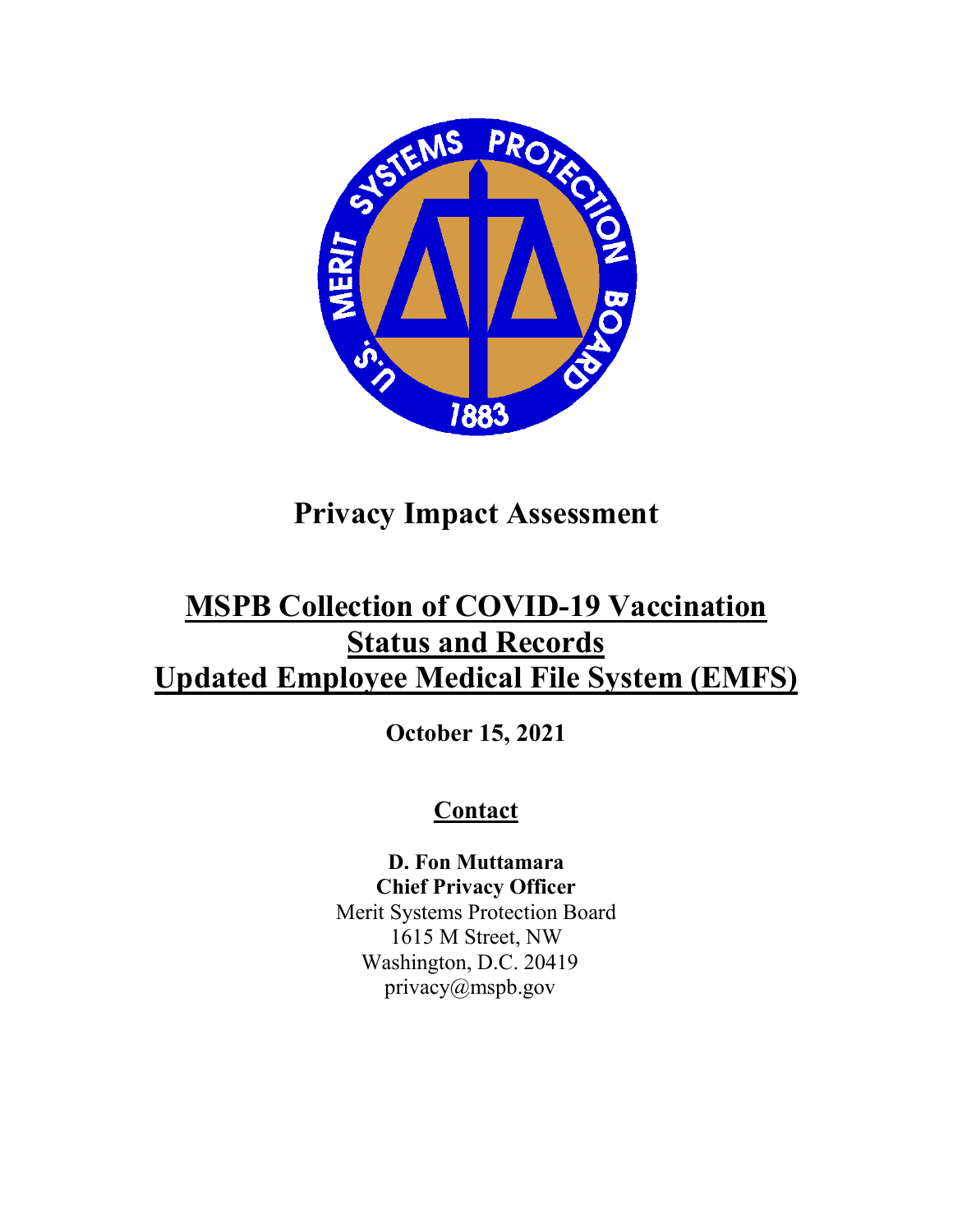

## **Privacy Impact Assessment**

## **MSPB Collection of COVID-19 Vaccination Status and Records Updated Employee Medical File System (EMFS)**

**October 15, 2021** 

## **Contact**

**D. Fon Muttamara Chief Privacy Officer** Merit Systems Protection Board 1615 M Street, NW

Washington, D.C. 20419 privacy@mspb.gov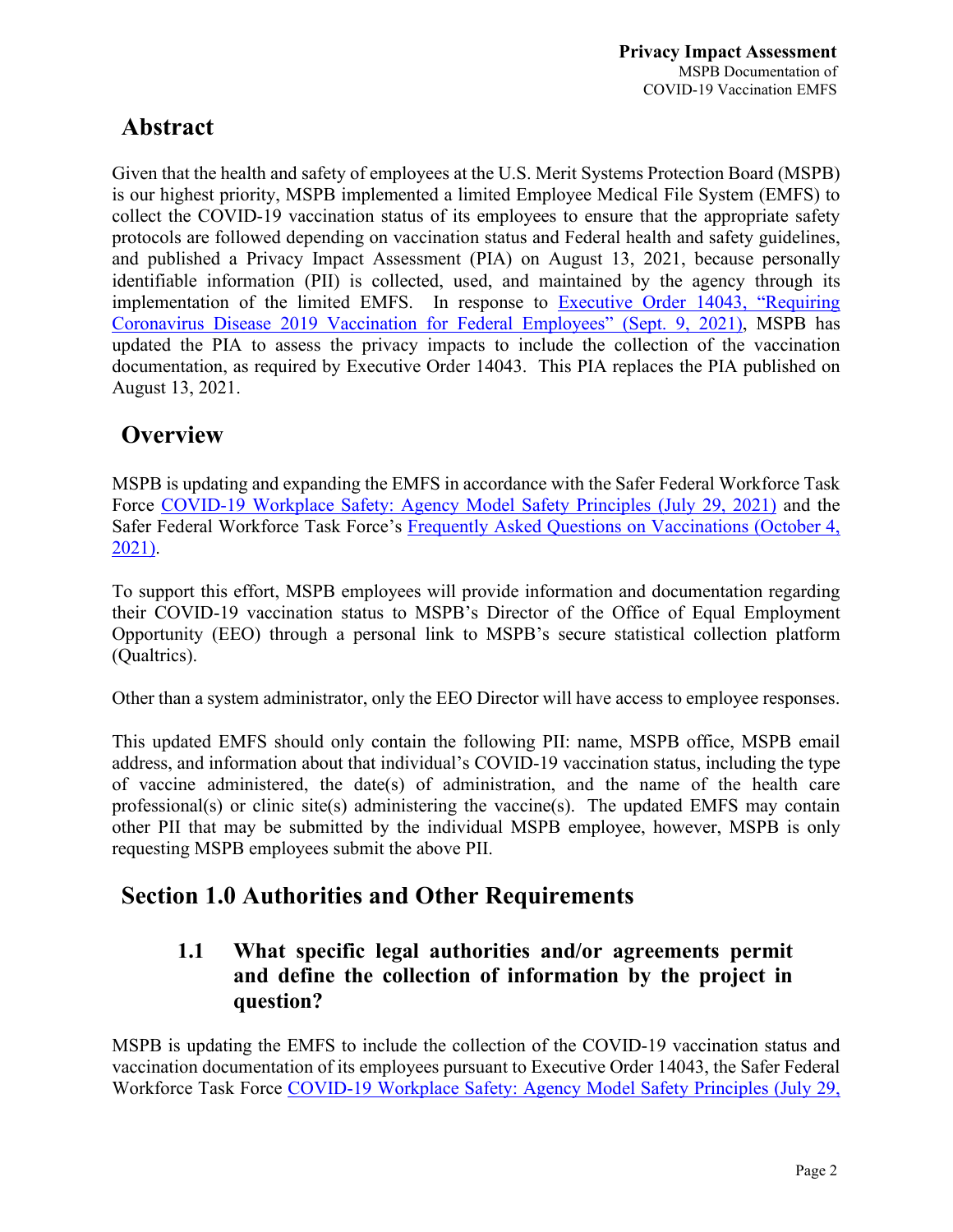### **Abstract**

Given that the health and safety of employees at the U.S. Merit Systems Protection Board (MSPB) is our highest priority, MSPB implemented a limited Employee Medical File System (EMFS) to collect the COVID-19 vaccination status of its employees to ensure that the appropriate safety protocols are followed depending on vaccination status and Federal health and safety guidelines, and published a Privacy Impact Assessment (PIA) on August 13, 2021, because personally identifiable information (PII) is collected, used, and maintained by the agency through its implementation of the limited EMFS. In response to [Executive Order 14043, "Requiring](https://www.govinfo.gov/content/pkg/FR-2021-09-14/pdf/2021-19927.pdf)  [Coronavirus Disease 2019 Vaccination for Federal Employees"](https://www.govinfo.gov/content/pkg/FR-2021-09-14/pdf/2021-19927.pdf) (Sept. 9, 2021), MSPB has updated the PIA to assess the privacy impacts to include the collection of the vaccination documentation, as required by Executive Order 14043. This PIA replaces the PIA published on August 13, 2021.

### **Overview**

MSPB is updating and expanding the EMFS in accordance with the Safer Federal Workforce Task Force [COVID-19 Workplace Safety: Agency Model Safety Principles \(July 29, 2021\)](https://www.saferfederalworkforce.gov/downloads/revised%20COVID19_Safe%20Federal%20Workplace_Agency%20Model%20Safety%20Principles_20210728.pdf) and the Safer Federal Workforce Task Force's [Frequently Asked Questions on Vaccinations \(October 4,](https://www.saferfederalworkforce.gov/faq/vaccinations/)  [2021\).](https://www.saferfederalworkforce.gov/faq/vaccinations/)

To support this effort, MSPB employees will provide information and documentation regarding their COVID-19 vaccination status to MSPB's Director of the Office of Equal Employment Opportunity (EEO) through a personal link to MSPB's secure statistical collection platform (Qualtrics).

Other than a system administrator, only the EEO Director will have access to employee responses.

This updated EMFS should only contain the following PII: name, MSPB office, MSPB email address, and information about that individual's COVID-19 vaccination status, including the type of vaccine administered, the date(s) of administration, and the name of the health care professional(s) or clinic site(s) administering the vaccine(s). The updated EMFS may contain other PII that may be submitted by the individual MSPB employee, however, MSPB is only requesting MSPB employees submit the above PII.

### **Section 1.0 Authorities and Other Requirements**

### **1.1 What specific legal authorities and/or agreements permit and define the collection of information by the project in question?**

MSPB is updating the EMFS to include the collection of the COVID-19 vaccination status and vaccination documentation of its employees pursuant to Executive Order 14043, the Safer Federal Workforce Task Force [COVID-19 Workplace Safety: Agency Model Safety Principles \(July 29,](https://www.saferfederalworkforce.gov/downloads/revised%20COVID19_Safe%20Federal%20Workplace_Agency%20Model%20Safety%20Principles_20210728.pdf)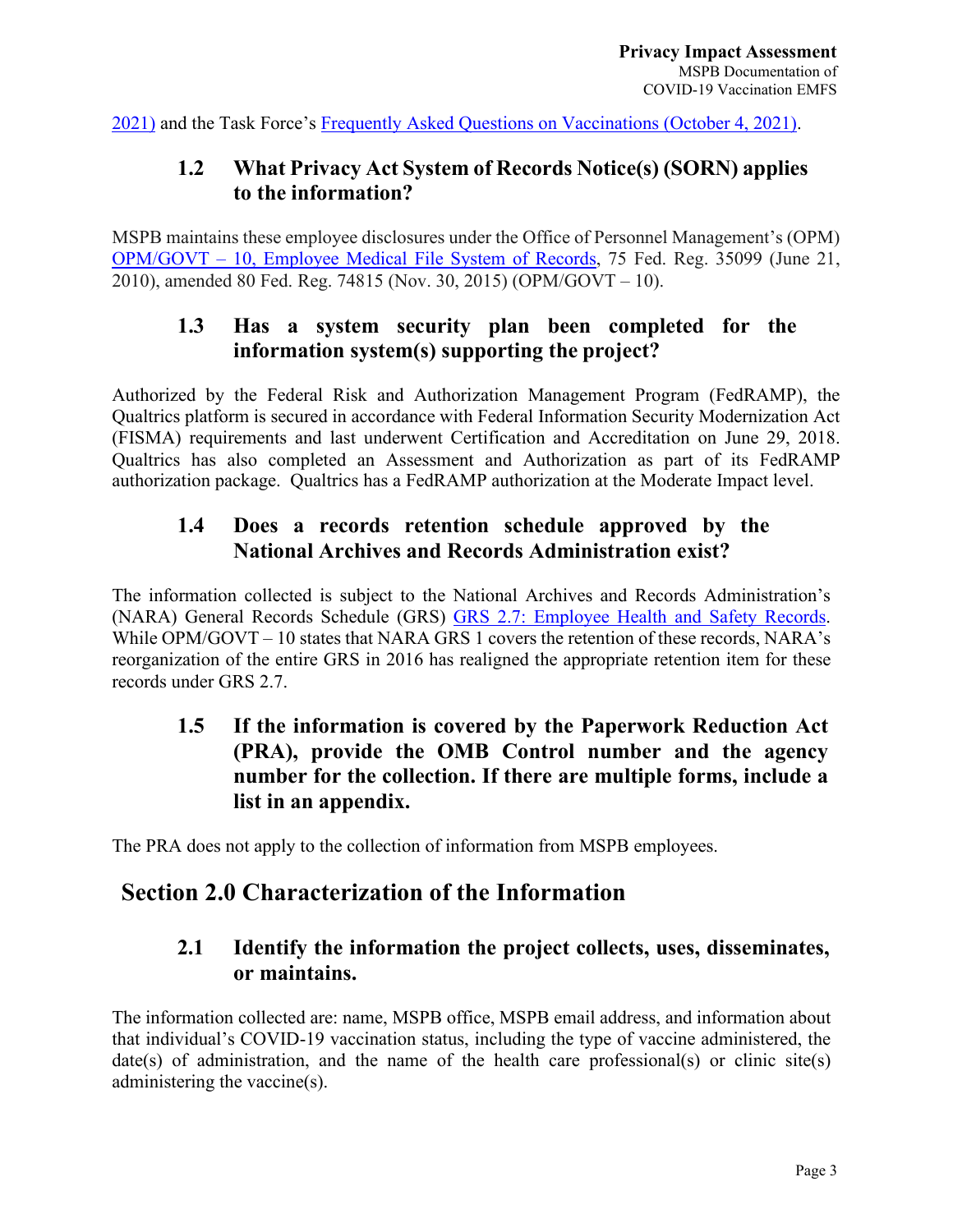[2021\)](https://www.saferfederalworkforce.gov/downloads/revised%20COVID19_Safe%20Federal%20Workplace_Agency%20Model%20Safety%20Principles_20210728.pdf) and the Task Force's [Frequently Asked Questions on Vaccinations \(October 4, 2021\).](https://www.saferfederalworkforce.gov/faq/vaccinations/)

### **1.2 What Privacy Act System of Records Notice(s) (SORN) applies to the information?**

MSPB maintains these employee disclosures under the Office of Personnel Management's (OPM) OPM/GOVT – [10, Employee Medical File System of Records,](https://www.opm.gov/information-management/privacy-policy/sorn/opm-sorn-govt-10-employee-medical-file-systems-records.pdf) 75 Fed. Reg. 35099 (June 21, 2010), amended 80 Fed. Reg. 74815 (Nov. 30, 2015) (OPM/GOVT – 10).

### **1.3 Has a system security plan been completed for the information system(s) supporting the project?**

Authorized by the Federal Risk and Authorization Management Program (FedRAMP), the Qualtrics platform is secured in accordance with Federal Information Security Modernization Act (FISMA) requirements and last underwent Certification and Accreditation on June 29, 2018. Qualtrics has also completed an Assessment and Authorization as part of its FedRAMP authorization package. Qualtrics has a FedRAMP authorization at the Moderate Impact level.

### **1.4 Does a records retention schedule approved by the National Archives and Records Administration exist?**

The information collected is subject to the National Archives and Records Administration's (NARA) General Records Schedule (GRS) [GRS 2.7: Employee Health and Safety Records.](https://www.archives.gov/files/records-mgmt/grs/grs02-7.pdf) While OPM/GOVT – 10 states that NARA GRS 1 covers the retention of these records, NARA's reorganization of the entire GRS in 2016 has realigned the appropriate retention item for these records under GRS 2.7.

### **1.5 If the information is covered by the Paperwork Reduction Act (PRA), provide the OMB Control number and the agency number for the collection. If there are multiple forms, include a list in an appendix.**

The PRA does not apply to the collection of information from MSPB employees.

### **Section 2.0 Characterization of the Information**

### **2.1 Identify the information the project collects, uses, disseminates, or maintains.**

The information collected are: name, MSPB office, MSPB email address, and information about that individual's COVID-19 vaccination status, including the type of vaccine administered, the date(s) of administration, and the name of the health care professional(s) or clinic site(s) administering the vaccine(s).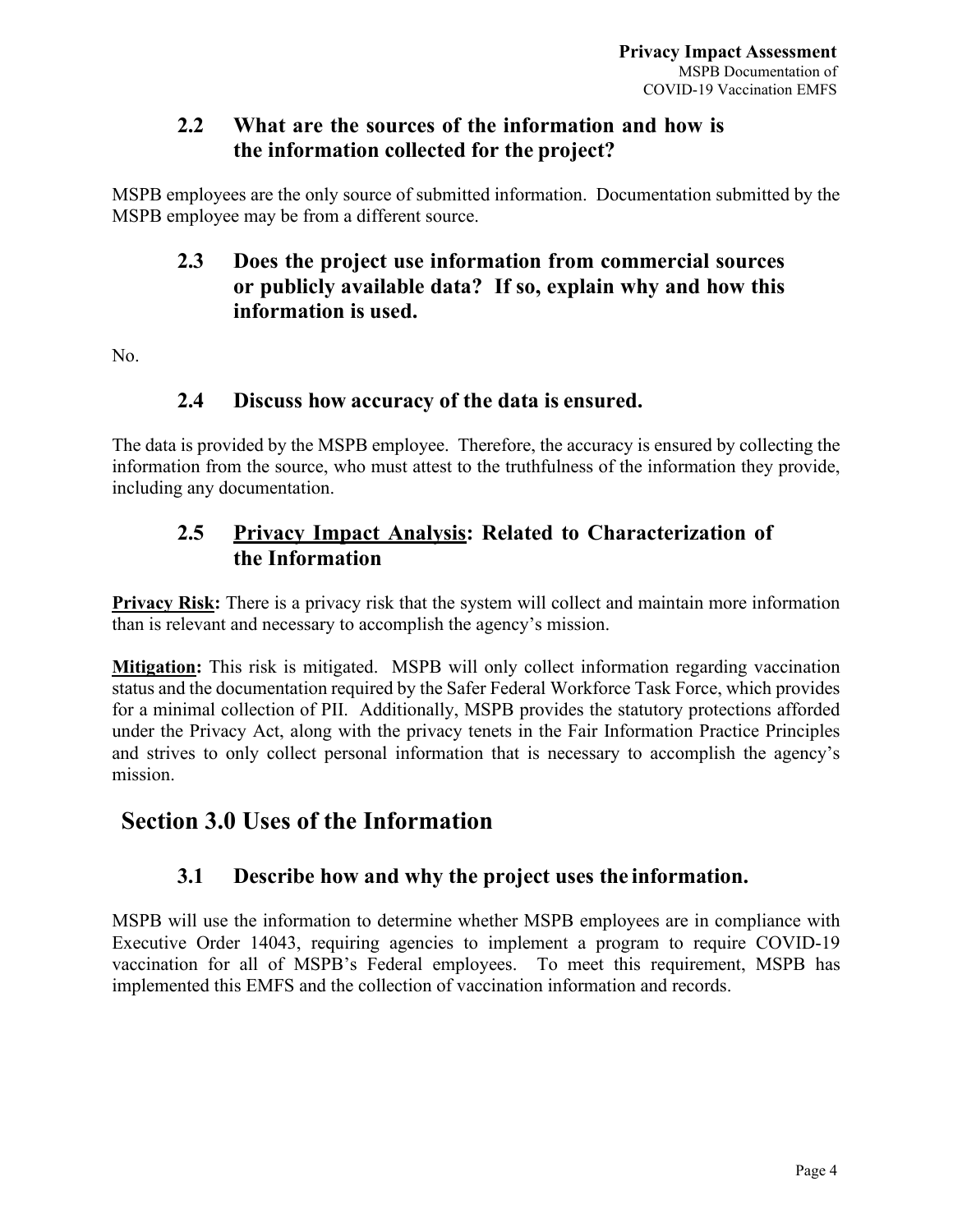### **2.2 What are the sources of the information and how is the information collected for the project?**

MSPB employees are the only source of submitted information. Documentation submitted by the MSPB employee may be from a different source.

### **2.3 Does the project use information from commercial sources or publicly available data? If so, explain why and how this information is used.**

No.

#### **2.4 Discuss how accuracy of the data is ensured.**

The data is provided by the MSPB employee. Therefore, the accuracy is ensured by collecting the information from the source, who must attest to the truthfulness of the information they provide, including any documentation.

### **2.5 Privacy Impact Analysis: Related to Characterization of the Information**

**Privacy Risk:** There is a privacy risk that the system will collect and maintain more information than is relevant and necessary to accomplish the agency's mission.

**Mitigation:** This risk is mitigated. MSPB will only collect information regarding vaccination status and the documentation required by the Safer Federal Workforce Task Force, which provides for a minimal collection of PII. Additionally, MSPB provides the statutory protections afforded under the Privacy Act, along with the privacy tenets in the Fair Information Practice Principles and strives to only collect personal information that is necessary to accomplish the agency's mission.

### **Section 3.0 Uses of the Information**

### **3.1 Describe how and why the project uses the information.**

MSPB will use the information to determine whether MSPB employees are in compliance with Executive Order 14043, requiring agencies to implement a program to require COVID-19 vaccination for all of MSPB's Federal employees. To meet this requirement, MSPB has implemented this EMFS and the collection of vaccination information and records.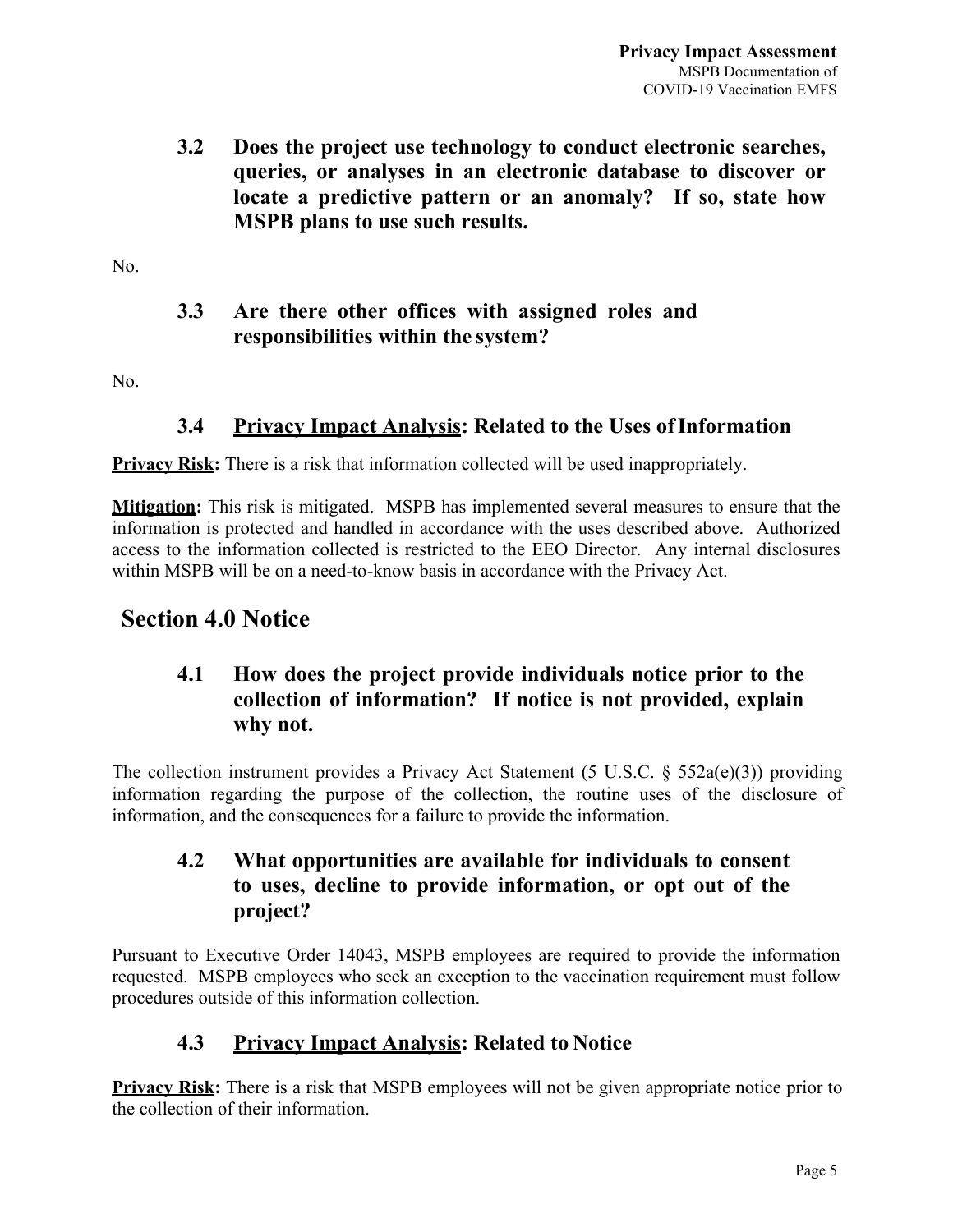**3.2 Does the project use technology to conduct electronic searches, queries, or analyses in an electronic database to discover or locate a predictive pattern or an anomaly? If so, state how MSPB plans to use such results.**

No.

#### **3.3 Are there other offices with assigned roles and responsibilities within the system?**

No.

#### **3.4 Privacy Impact Analysis: Related to the Uses ofInformation**

**Privacy Risk:** There is a risk that information collected will be used inappropriately.

**Mitigation:** This risk is mitigated. MSPB has implemented several measures to ensure that the information is protected and handled in accordance with the uses described above. Authorized access to the information collected is restricted to the EEO Director. Any internal disclosures within MSPB will be on a need-to-know basis in accordance with the Privacy Act.

### **Section 4.0 Notice**

### **4.1 How does the project provide individuals notice prior to the collection of information? If notice is not provided, explain why not.**

The collection instrument provides a Privacy Act Statement (5 U.S.C. § 552a(e)(3)) providing information regarding the purpose of the collection, the routine uses of the disclosure of information, and the consequences for a failure to provide the information.

### **4.2 What opportunities are available for individuals to consent to uses, decline to provide information, or opt out of the project?**

Pursuant to Executive Order 14043, MSPB employees are required to provide the information requested. MSPB employees who seek an exception to the vaccination requirement must follow procedures outside of this information collection.

### **4.3 Privacy Impact Analysis: Related to Notice**

**Privacy Risk:** There is a risk that MSPB employees will not be given appropriate notice prior to the collection of their information.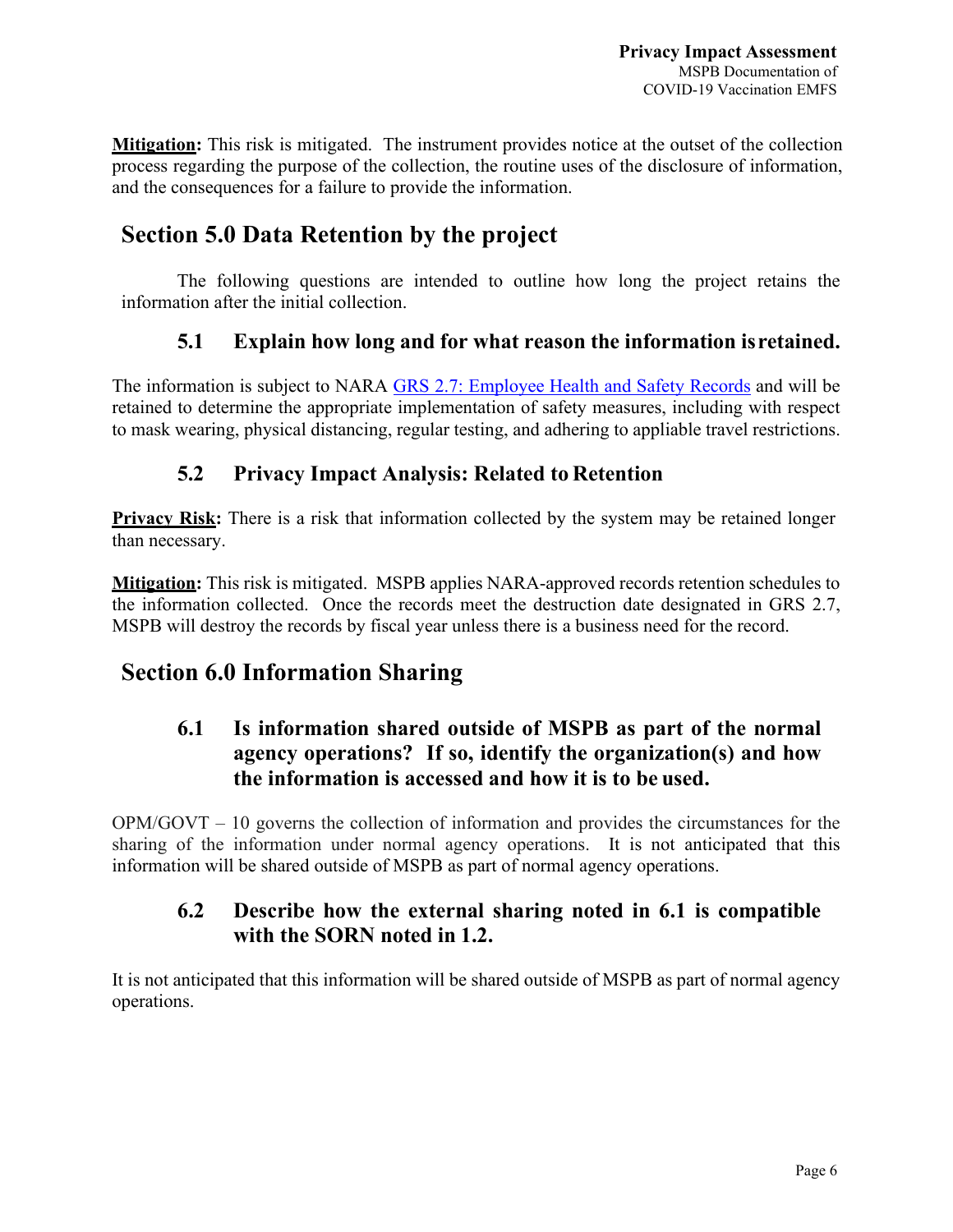**Mitigation:** This risk is mitigated. The instrument provides notice at the outset of the collection process regarding the purpose of the collection, the routine uses of the disclosure of information, and the consequences for a failure to provide the information.

### **Section 5.0 Data Retention by the project**

The following questions are intended to outline how long the project retains the information after the initial collection.

### **5.1 Explain how long and for what reason the information isretained.**

The information is subject to NARA [GRS 2.7: Employee Health and Safety Records](https://www.archives.gov/files/records-mgmt/grs/grs02-7.pdf) and will be retained to determine the appropriate implementation of safety measures, including with respect to mask wearing, physical distancing, regular testing, and adhering to appliable travel restrictions.

### **5.2 Privacy Impact Analysis: Related to Retention**

**Privacy Risk:** There is a risk that information collected by the system may be retained longer than necessary.

**Mitigation:** This risk is mitigated. MSPB applies NARA-approved records retention schedules to the information collected. Once the records meet the destruction date designated in GRS 2.7, MSPB will destroy the records by fiscal year unless there is a business need for the record.

### **Section 6.0 Information Sharing**

### **6.1 Is information shared outside of MSPB as part of the normal agency operations? If so, identify the organization(s) and how the information is accessed and how it is to be used.**

OPM/GOVT – 10 governs the collection of information and provides the circumstances for the sharing of the information under normal agency operations. It is not anticipated that this information will be shared outside of MSPB as part of normal agency operations.

### **6.2 Describe how the external sharing noted in 6.1 is compatible with the SORN noted in 1.2.**

It is not anticipated that this information will be shared outside of MSPB as part of normal agency operations.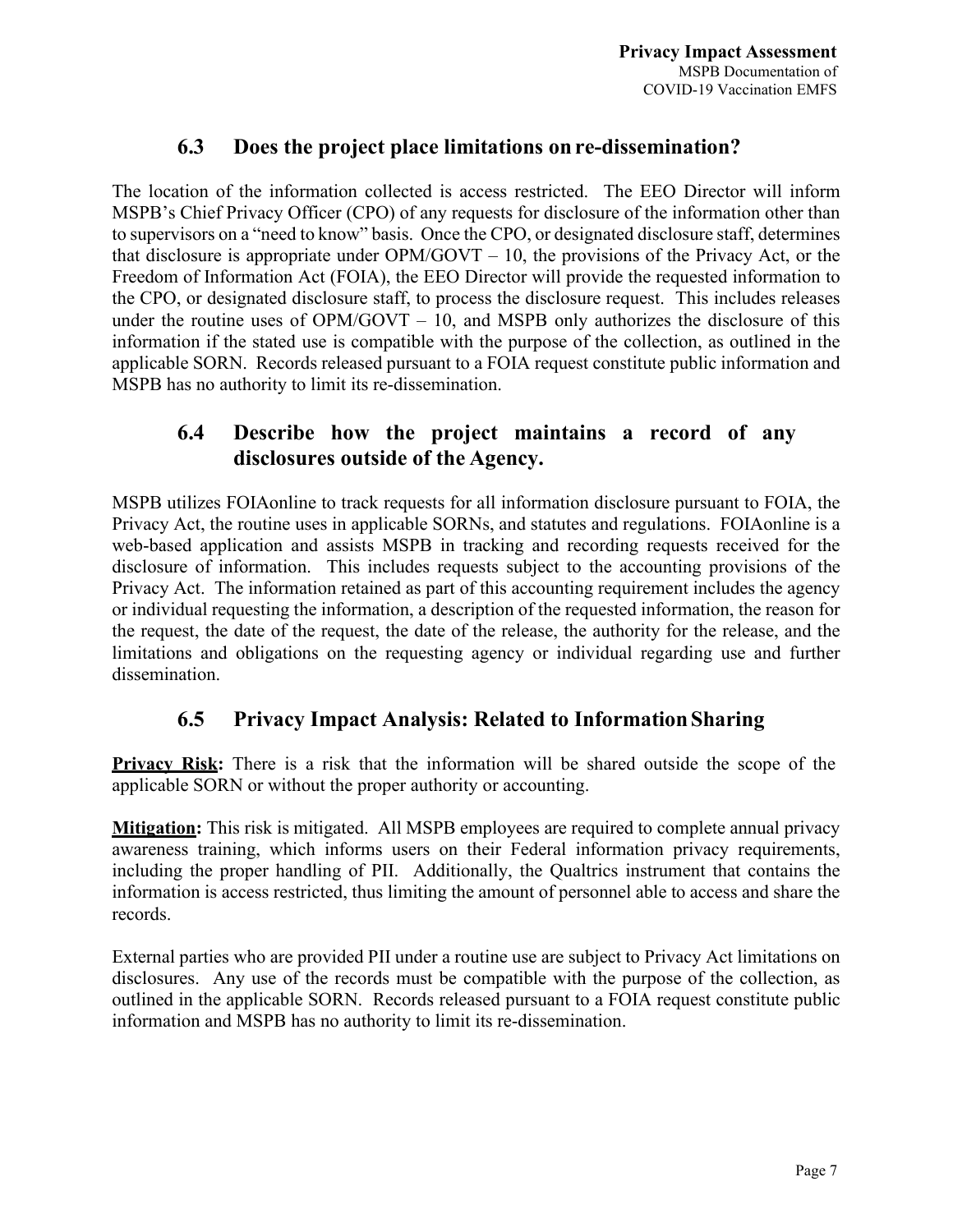### **6.3 Does the project place limitations on re-dissemination?**

The location of the information collected is access restricted. The EEO Director will inform MSPB's Chief Privacy Officer (CPO) of any requests for disclosure of the information other than to supervisors on a "need to know" basis. Once the CPO, or designated disclosure staff, determines that disclosure is appropriate under  $OPM/GOVT - 10$ , the provisions of the Privacy Act, or the Freedom of Information Act (FOIA), the EEO Director will provide the requested information to the CPO, or designated disclosure staff, to process the disclosure request. This includes releases under the routine uses of  $OPM/GOVT - 10$ , and MSPB only authorizes the disclosure of this information if the stated use is compatible with the purpose of the collection, as outlined in the applicable SORN. Records released pursuant to a FOIA request constitute public information and MSPB has no authority to limit its re-dissemination.

### **6.4 Describe how the project maintains a record of any disclosures outside of the Agency.**

MSPB utilizes FOIAonline to track requests for all information disclosure pursuant to FOIA, the Privacy Act, the routine uses in applicable SORNs, and statutes and regulations. FOIAonline is a web-based application and assists MSPB in tracking and recording requests received for the disclosure of information. This includes requests subject to the accounting provisions of the Privacy Act. The information retained as part of this accounting requirement includes the agency or individual requesting the information, a description of the requested information, the reason for the request, the date of the request, the date of the release, the authority for the release, and the limitations and obligations on the requesting agency or individual regarding use and further dissemination.

### **6.5 Privacy Impact Analysis: Related to InformationSharing**

**Privacy Risk:** There is a risk that the information will be shared outside the scope of the applicable SORN or without the proper authority or accounting.

**Mitigation:** This risk is mitigated. All MSPB employees are required to complete annual privacy awareness training, which informs users on their Federal information privacy requirements, including the proper handling of PII. Additionally, the Qualtrics instrument that contains the information is access restricted, thus limiting the amount of personnel able to access and share the records.

External parties who are provided PII under a routine use are subject to Privacy Act limitations on disclosures. Any use of the records must be compatible with the purpose of the collection, as outlined in the applicable SORN. Records released pursuant to a FOIA request constitute public information and MSPB has no authority to limit its re-dissemination.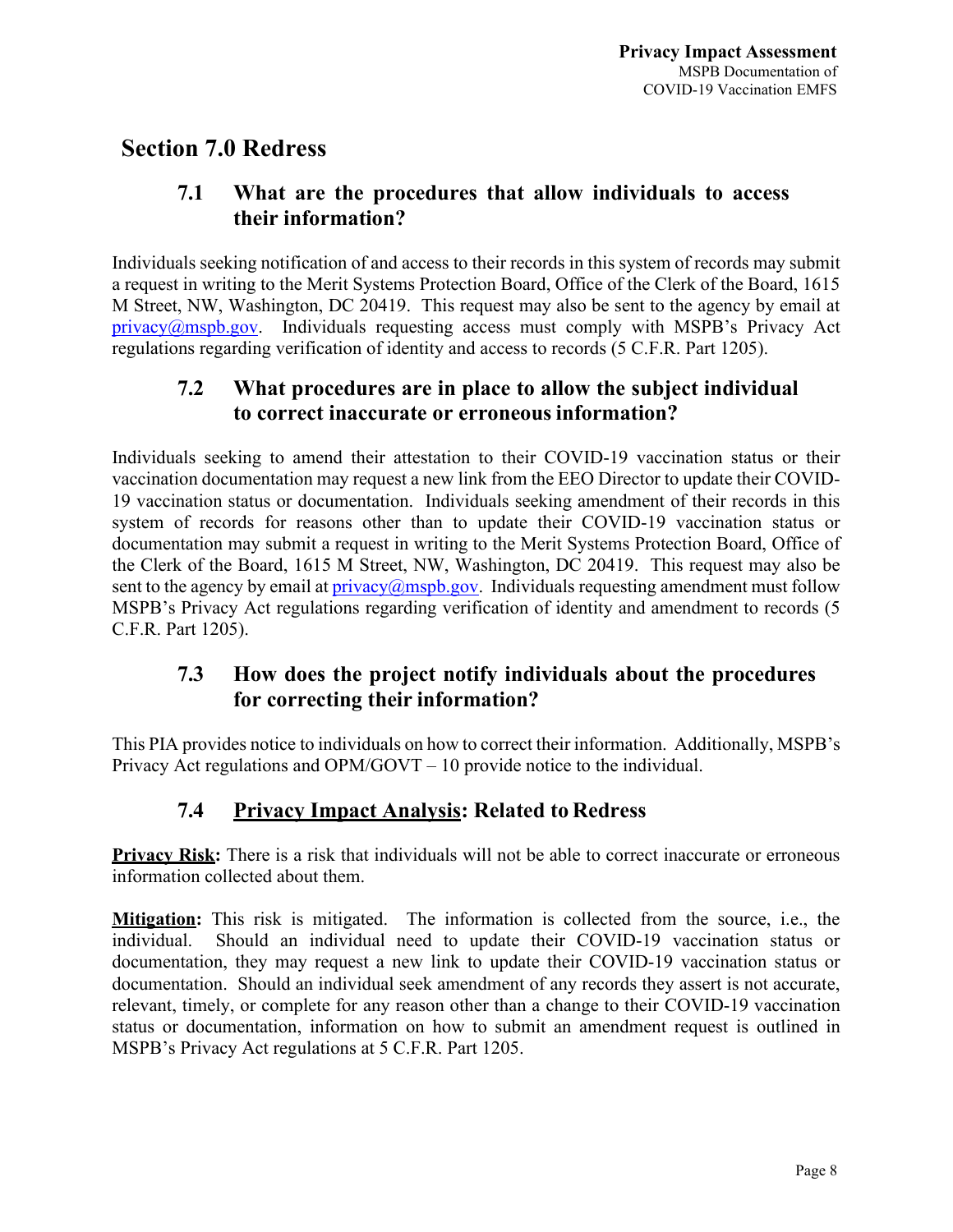### **Section 7.0 Redress**

### **7.1 What are the procedures that allow individuals to access their information?**

Individuals seeking notification of and access to their records in this system of records may submit a request in writing to the Merit Systems Protection Board, Office of the Clerk of the Board, 1615 M Street, NW, Washington, DC 20419. This request may also be sent to the agency by email at  $\pi$  privacy $\omega$ mspb.gov. Individuals requesting access must comply with MSPB's Privacy Act regulations regarding verification of identity and access to records (5 C.F.R. Part 1205).

### **7.2 What procedures are in place to allow the subject individual to correct inaccurate or erroneousinformation?**

Individuals seeking to amend their attestation to their COVID-19 vaccination status or their vaccination documentation may request a new link from the EEO Director to update their COVID-19 vaccination status or documentation. Individuals seeking amendment of their records in this system of records for reasons other than to update their COVID-19 vaccination status or documentation may submit a request in writing to the Merit Systems Protection Board, Office of the Clerk of the Board, 1615 M Street, NW, Washington, DC 20419. This request may also be sent to the agency by email at  $\frac{privacy(a) \cdot mspb.gov. }{midvol}(a)$  Individuals requesting amendment must follow MSPB's Privacy Act regulations regarding verification of identity and amendment to records (5 C.F.R. Part 1205).

### **7.3 How does the project notify individuals about the procedures for correcting their information?**

This PIA provides notice to individuals on how to correct their information. Additionally, MSPB's Privacy Act regulations and OPM/GOVT – 10 provide notice to the individual.

### **7.4 Privacy Impact Analysis: Related to Redress**

**Privacy Risk:** There is a risk that individuals will not be able to correct inaccurate or erroneous information collected about them.

**Mitigation:** This risk is mitigated. The information is collected from the source, i.e., the individual. Should an individual need to update their COVID-19 vaccination status or documentation, they may request a new link to update their COVID-19 vaccination status or documentation. Should an individual seek amendment of any records they assert is not accurate, relevant, timely, or complete for any reason other than a change to their COVID-19 vaccination status or documentation, information on how to submit an amendment request is outlined in MSPB's Privacy Act regulations at 5 C.F.R. Part 1205.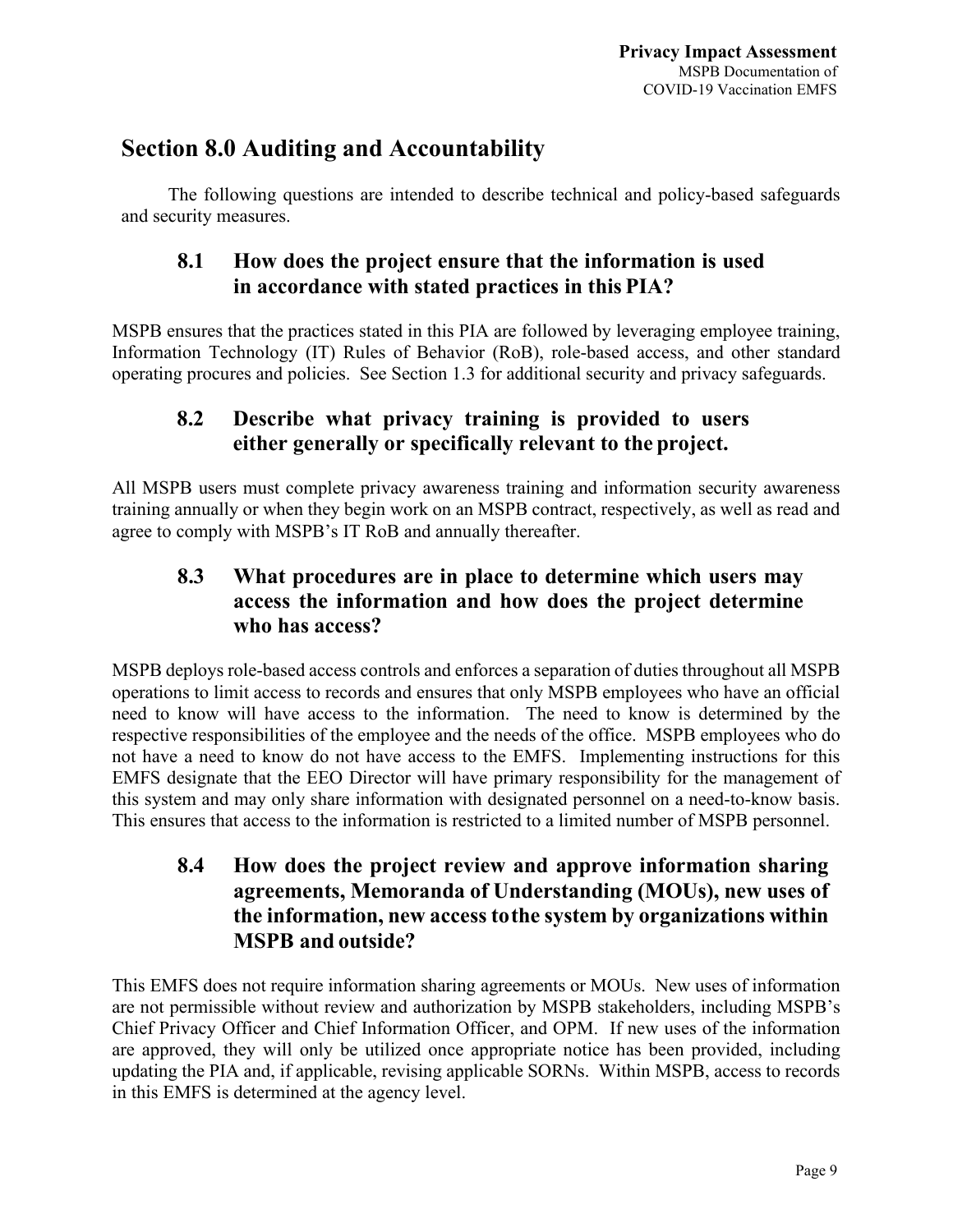### **Section 8.0 Auditing and Accountability**

The following questions are intended to describe technical and policy-based safeguards and security measures.

### **8.1 How does the project ensure that the information is used in accordance with stated practices in this PIA?**

MSPB ensures that the practices stated in this PIA are followed by leveraging employee training, Information Technology (IT) Rules of Behavior (RoB), role-based access, and other standard operating procures and policies. See Section 1.3 for additional security and privacy safeguards.

### **8.2 Describe what privacy training is provided to users either generally or specifically relevant to the project.**

All MSPB users must complete privacy awareness training and information security awareness training annually or when they begin work on an MSPB contract, respectively, as well as read and agree to comply with MSPB's IT RoB and annually thereafter.

### **8.3 What procedures are in place to determine which users may access the information and how does the project determine who has access?**

MSPB deploys role-based access controls and enforces a separation of duties throughout all MSPB operations to limit access to records and ensures that only MSPB employees who have an official need to know will have access to the information. The need to know is determined by the respective responsibilities of the employee and the needs of the office. MSPB employees who do not have a need to know do not have access to the EMFS. Implementing instructions for this EMFS designate that the EEO Director will have primary responsibility for the management of this system and may only share information with designated personnel on a need-to-know basis. This ensures that access to the information is restricted to a limited number of MSPB personnel.

### **8.4 How does the project review and approve information sharing agreements, Memoranda of Understanding (MOUs), new uses of the information, new access tothe system by organizations within MSPB and outside?**

This EMFS does not require information sharing agreements or MOUs. New uses of information are not permissible without review and authorization by MSPB stakeholders, including MSPB's Chief Privacy Officer and Chief Information Officer, and OPM. If new uses of the information are approved, they will only be utilized once appropriate notice has been provided, including updating the PIA and, if applicable, revising applicable SORNs. Within MSPB, access to records in this EMFS is determined at the agency level.